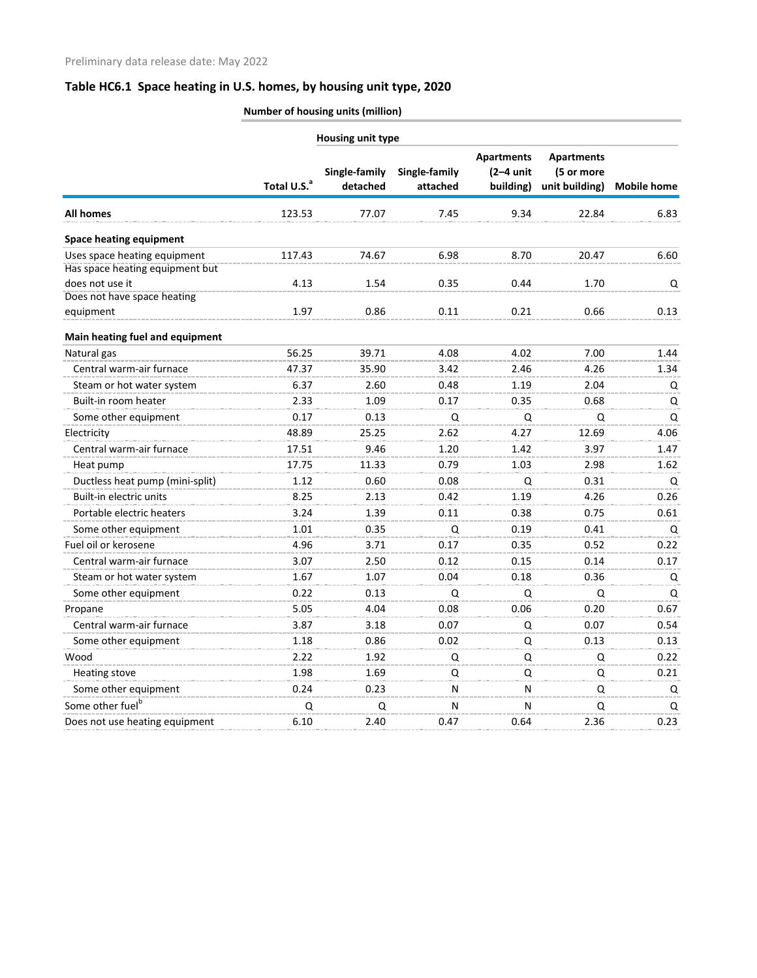**Number of housing units (million)**

|                                 |                         | Housing unit type         |                           |                                               |                                                   |                    |
|---------------------------------|-------------------------|---------------------------|---------------------------|-----------------------------------------------|---------------------------------------------------|--------------------|
|                                 | Total U.S. <sup>a</sup> | Single-family<br>detached | Single-family<br>attached | <b>Apartments</b><br>$(2-4$ unit<br>building) | <b>Apartments</b><br>(5 or more<br>unit building) | <b>Mobile home</b> |
| <b>All homes</b>                | 123.53                  | 77.07                     | 7.45                      | 9.34                                          | 22.84                                             | 6.83               |
| <b>Space heating equipment</b>  |                         |                           |                           |                                               |                                                   |                    |
| Uses space heating equipment    | 117.43                  | 74.67                     | 6.98                      | 8.70                                          | 20.47                                             | 6.60               |
| Has space heating equipment but |                         |                           |                           |                                               |                                                   |                    |
| does not use it                 | 4.13                    | 1.54                      | 0.35                      | 0.44                                          | 1.70                                              | Q                  |
| Does not have space heating     |                         |                           |                           |                                               |                                                   |                    |
| equipment                       | 1.97                    | 0.86                      | 0.11                      | 0.21                                          | 0.66                                              | 0.13               |
| Main heating fuel and equipment |                         |                           |                           |                                               |                                                   |                    |
| Natural gas                     | 56.25                   | 39.71                     | 4.08                      | 4.02                                          | 7.00                                              | 1.44               |
| Central warm-air furnace        | 47.37                   | 35.90                     | 3.42                      | 2.46                                          | 4.26                                              | 1.34               |
| Steam or hot water system       | 6.37                    | 2.60                      | 0.48                      | 1.19                                          | 2.04                                              | Q                  |
| Built-in room heater            | 2.33                    | 1.09                      | 0.17                      | 0.35                                          | 0.68                                              | Q                  |
| Some other equipment            | 0.17                    | 0.13                      | Q                         | Q                                             | Q                                                 | Q                  |
| Electricity                     | 48.89                   | 25.25                     | 2.62                      | 4.27                                          | 12.69                                             | 4.06               |
| Central warm-air furnace        | 17.51                   | 9.46                      | 1.20                      | 1.42                                          | 3.97                                              | 1.47               |
| Heat pump                       | 17.75                   | 11.33                     | 0.79                      | 1.03                                          | 2.98                                              | 1.62               |
| Ductless heat pump (mini-split) | 1.12                    | 0.60                      | 0.08                      | Q                                             | 0.31                                              | Q                  |
| Built-in electric units         | 8.25                    | 2.13                      | 0.42                      | 1.19                                          | 4.26                                              | 0.26               |
| Portable electric heaters       | 3.24                    | 1.39                      | 0.11                      | 0.38                                          | 0.75                                              | 0.61               |
| Some other equipment            | 1.01                    | 0.35                      | Q                         | 0.19                                          | 0.41                                              | Q                  |
| Fuel oil or kerosene            | 4.96                    | 3.71                      | 0.17                      | 0.35                                          | 0.52                                              | 0.22               |
| Central warm-air furnace        | 3.07                    | 2.50                      | 0.12                      | 0.15                                          | 0.14                                              | 0.17               |
| Steam or hot water system       | 1.67                    | 1.07                      | 0.04                      | 0.18                                          | 0.36                                              | Q                  |
| Some other equipment            | 0.22                    | 0.13                      | Q                         | Q                                             | Q                                                 | Q                  |
| Propane                         | 5.05                    | 4.04                      | 0.08                      | 0.06                                          | 0.20                                              | 0.67               |
| Central warm-air furnace        | 3.87                    | 3.18                      | 0.07                      | Q                                             | 0.07                                              | 0.54               |
| Some other equipment            | 1.18                    | 0.86                      | 0.02                      | Q                                             | 0.13                                              | 0.13               |
| Wood                            | 2.22                    | 1.92                      | Q                         | Q                                             | Q                                                 | 0.22               |
| <b>Heating stove</b>            | 1.98                    | 1.69                      | Q                         | Q                                             | Q                                                 | 0.21               |
| Some other equipment            | 0.24                    | 0.23                      | N                         | N                                             | Q                                                 | Q                  |
| Some other fuel <sup>b</sup>    | Q                       | Q                         | N                         | N                                             | Q                                                 | Q                  |
| Does not use heating equipment  | 6.10                    | 2.40                      | 0.47                      | 0.64                                          | 2.36                                              | 0.23               |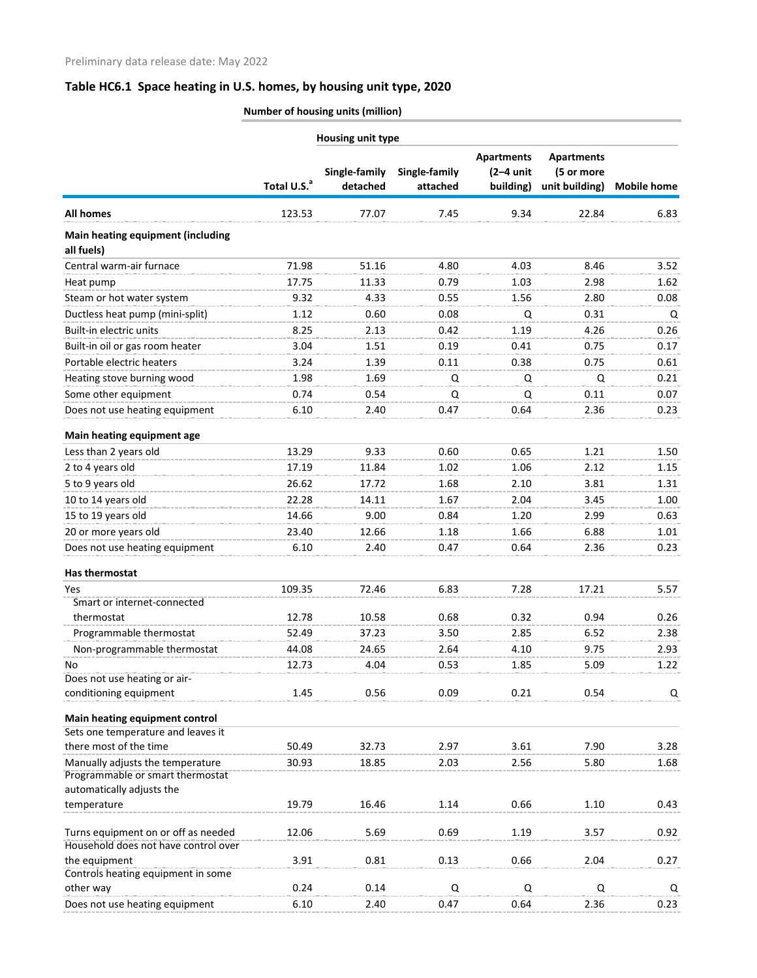**Number of housing units (million)**

| Housing unit type                                                    |                         |                           |                           |                                               |                                                   |                    |
|----------------------------------------------------------------------|-------------------------|---------------------------|---------------------------|-----------------------------------------------|---------------------------------------------------|--------------------|
|                                                                      | Total U.S. <sup>a</sup> | Single-family<br>detached | Single-family<br>attached | <b>Apartments</b><br>$(2-4$ unit<br>building) | <b>Apartments</b><br>(5 or more<br>unit building) | <b>Mobile home</b> |
| <b>All homes</b>                                                     | 123.53                  | 77.07                     | 7.45                      | 9.34                                          | 22.84                                             | 6.83               |
| <b>Main heating equipment (including</b><br>all fuels)               |                         |                           |                           |                                               |                                                   |                    |
| Central warm-air furnace                                             | 71.98                   | 51.16                     | 4.80                      | 4.03                                          | 8.46                                              | 3.52               |
| Heat pump                                                            | 17.75                   | 11.33                     | 0.79                      | 1.03                                          | 2.98                                              | 1.62               |
| Steam or hot water system                                            | 9.32                    | 4.33                      | 0.55                      | 1.56                                          | 2.80                                              | 0.08               |
| Ductless heat pump (mini-split)                                      | 1.12                    | 0.60                      | 0.08                      | Q                                             | 0.31                                              | Q                  |
| Built-in electric units                                              | 8.25                    | 2.13                      | 0.42                      | 1.19                                          | 4.26                                              | 0.26               |
| Built-in oil or gas room heater                                      | 3.04                    | 1.51                      | 0.19                      | 0.41                                          | 0.75                                              | 0.17               |
| Portable electric heaters                                            | 3.24                    | 1.39                      | 0.11                      | 0.38                                          | 0.75                                              | 0.61               |
| Heating stove burning wood                                           | 1.98                    | 1.69                      | Q                         | Q                                             | Q                                                 | 0.21               |
| Some other equipment                                                 | 0.74                    | 0.54                      | Q                         | Q                                             | 0.11                                              | 0.07               |
| Does not use heating equipment                                       | 6.10                    | 2.40                      | 0.47                      | 0.64                                          | 2.36                                              | 0.23               |
|                                                                      |                         |                           |                           |                                               |                                                   |                    |
| Main heating equipment age                                           |                         |                           |                           |                                               |                                                   |                    |
| Less than 2 years old                                                | 13.29                   | 9.33                      | 0.60                      | 0.65                                          | 1.21                                              | 1.50               |
| 2 to 4 years old                                                     | 17.19                   | 11.84                     | 1.02                      | 1.06                                          | 2.12                                              | 1.15               |
| 5 to 9 years old                                                     | 26.62                   | 17.72                     | 1.68                      | 2.10                                          | 3.81                                              | 1.31               |
| 10 to 14 years old                                                   | 22.28                   | 14.11                     | 1.67                      | 2.04                                          | 3.45                                              | 1.00               |
| 15 to 19 years old                                                   | 14.66                   | 9.00                      | 0.84                      | 1.20                                          | 2.99                                              | 0.63               |
| 20 or more years old                                                 | 23.40                   | 12.66                     | 1.18                      | 1.66                                          | 6.88                                              | 1.01               |
| Does not use heating equipment                                       | 6.10                    | 2.40                      | 0.47                      | 0.64                                          | 2.36                                              | 0.23               |
| Has thermostat                                                       |                         |                           |                           |                                               |                                                   |                    |
| Yes                                                                  | 109.35                  | 72.46                     | 6.83                      | 7.28                                          | 17.21                                             | 5.57               |
| Smart or internet-connected                                          |                         |                           |                           |                                               |                                                   |                    |
| thermostat                                                           | 12.78                   | 10.58                     | 0.68                      | 0.32                                          | 0.94                                              | 0.26               |
| Programmable thermostat                                              | 52.49                   | 37.23                     | 3.50                      | 2.85                                          | 6.52                                              | 2.38               |
| Non-programmable thermostat                                          | 44.08                   | 24.65                     | 2.64                      | 4.10                                          | 9.75                                              | 2.93               |
| No                                                                   | 12.73                   | 4.04                      | 0.53                      | 1.85                                          | 5.09                                              | 1.22               |
| Does not use heating or air-                                         |                         |                           |                           |                                               |                                                   |                    |
| conditioning equipment                                               | 1.45                    | 0.56                      | 0.09                      | 0.21                                          | 0.54                                              | Q                  |
| Main heating equipment control                                       |                         |                           |                           |                                               |                                                   |                    |
| Sets one temperature and leaves it                                   |                         |                           |                           |                                               |                                                   |                    |
| there most of the time                                               | 50.49                   | 32.73                     | 2.97                      | 3.61                                          | 7.90                                              | 3.28               |
| Manually adjusts the temperature<br>Programmable or smart thermostat | 30.93                   | 18.85                     | 2.03                      | 2.56                                          | 5.80                                              | 1.68               |
| automatically adjusts the                                            |                         |                           |                           |                                               |                                                   |                    |
| temperature                                                          | 19.79                   | 16.46                     | 1.14                      | 0.66                                          | 1.10                                              | 0.43               |
| Turns equipment on or off as needed                                  | 12.06                   | 5.69                      | 0.69                      | 1.19                                          | 3.57                                              | 0.92               |
| Household does not have control over                                 |                         |                           |                           |                                               |                                                   |                    |
| the equipment                                                        | 3.91                    | 0.81                      | 0.13                      | 0.66                                          | 2.04                                              | 0.27               |
| Controls heating equipment in some                                   |                         |                           |                           |                                               |                                                   |                    |
| other way                                                            | 0.24                    | 0.14                      | Q                         | Q                                             | Q                                                 | Q                  |
| Does not use heating equipment                                       | 6.10                    | 2.40                      | 0.47                      | 0.64                                          | 2.36                                              | 0.23               |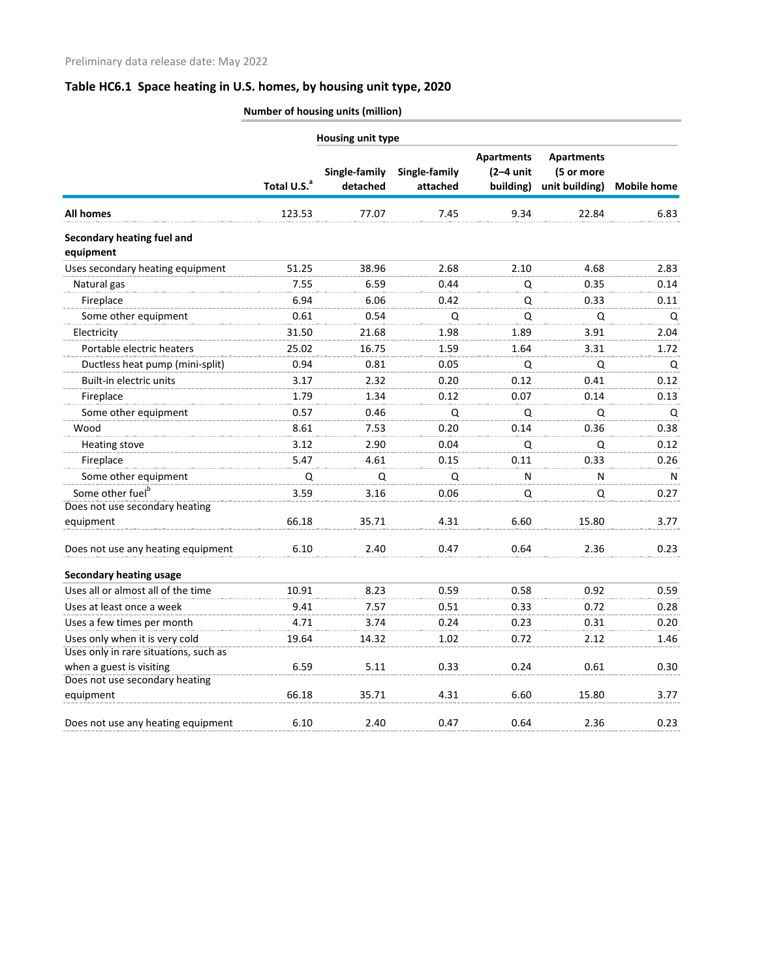**Number of housing units (million)**

|                                         |                         | Housing unit type         |                           |                                               |                                                   |                    |
|-----------------------------------------|-------------------------|---------------------------|---------------------------|-----------------------------------------------|---------------------------------------------------|--------------------|
|                                         | Total U.S. <sup>a</sup> | Single-family<br>detached | Single-family<br>attached | <b>Apartments</b><br>$(2-4$ unit<br>building) | <b>Apartments</b><br>(5 or more<br>unit building) | <b>Mobile home</b> |
| <b>All homes</b>                        | 123.53                  | 77.07                     | 7.45                      | 9.34                                          | 22.84                                             | 6.83               |
| Secondary heating fuel and<br>equipment |                         |                           |                           |                                               |                                                   |                    |
| Uses secondary heating equipment        | 51.25                   | 38.96                     | 2.68                      | 2.10                                          | 4.68                                              | 2.83               |
| Natural gas                             | 7.55                    | 6.59                      | 0.44                      | Q                                             | 0.35                                              | 0.14               |
| Fireplace                               | 6.94                    | 6.06                      | 0.42                      | Q                                             | 0.33                                              | 0.11               |
| Some other equipment                    | 0.61                    | 0.54                      | Q                         | Q                                             | Q                                                 | Q                  |
| Electricity                             | 31.50                   | 21.68                     | 1.98                      | 1.89                                          | 3.91                                              | 2.04               |
| Portable electric heaters               | 25.02                   | 16.75                     | 1.59                      | 1.64                                          | 3.31                                              | 1.72               |
| Ductless heat pump (mini-split)         | 0.94                    | 0.81                      | 0.05                      | Q                                             | Q                                                 | Q                  |
| Built-in electric units                 | 3.17                    | 2.32                      | 0.20                      | 0.12                                          | 0.41                                              | 0.12               |
| Fireplace                               | 1.79                    | 1.34                      | 0.12                      | 0.07                                          | 0.14                                              | 0.13               |
| Some other equipment                    | 0.57                    | 0.46                      | Q                         | Q                                             | Q                                                 | Q                  |
| Wood                                    | 8.61                    | 7.53                      | 0.20                      | 0.14                                          | 0.36                                              | 0.38               |
| Heating stove                           | 3.12                    | 2.90                      | 0.04                      | Q                                             | Q                                                 | 0.12               |
| Fireplace                               | 5.47                    | 4.61                      | 0.15                      | 0.11                                          | 0.33                                              | 0.26               |
| Some other equipment                    | Q                       | Q                         | Q                         | N                                             | N                                                 | N                  |
| Some other fuel <sup>b</sup>            | 3.59                    | 3.16                      | 0.06                      | Q                                             | Q                                                 | 0.27               |
| Does not use secondary heating          |                         |                           |                           |                                               |                                                   |                    |
| equipment                               | 66.18                   | 35.71                     | 4.31                      | 6.60                                          | 15.80                                             | 3.77               |
| Does not use any heating equipment      | 6.10                    | 2.40                      | 0.47                      | 0.64                                          | 2.36                                              | 0.23               |
| <b>Secondary heating usage</b>          |                         |                           |                           |                                               |                                                   |                    |
| Uses all or almost all of the time      | 10.91                   | 8.23                      | 0.59                      | 0.58                                          | 0.92                                              | 0.59               |
| Uses at least once a week               | 9.41                    | 7.57                      | 0.51                      | 0.33                                          | 0.72                                              | 0.28               |
| Uses a few times per month              | 4.71                    | 3.74                      | 0.24                      | 0.23                                          | 0.31                                              | 0.20               |
| Uses only when it is very cold          | 19.64                   | 14.32                     | 1.02                      | 0.72                                          | 2.12                                              | 1.46               |
| Uses only in rare situations, such as   |                         |                           |                           |                                               |                                                   |                    |
| when a guest is visiting                | 6.59                    | 5.11                      | 0.33                      | 0.24                                          | 0.61                                              | 0.30               |
| Does not use secondary heating          |                         |                           |                           |                                               |                                                   |                    |
| equipment                               | 66.18                   | 35.71                     | 4.31                      | 6.60                                          | 15.80                                             | 3.77               |
| Does not use any heating equipment      | 6.10                    | 2.40                      | 0.47                      | 0.64                                          | 2.36                                              | 0.23               |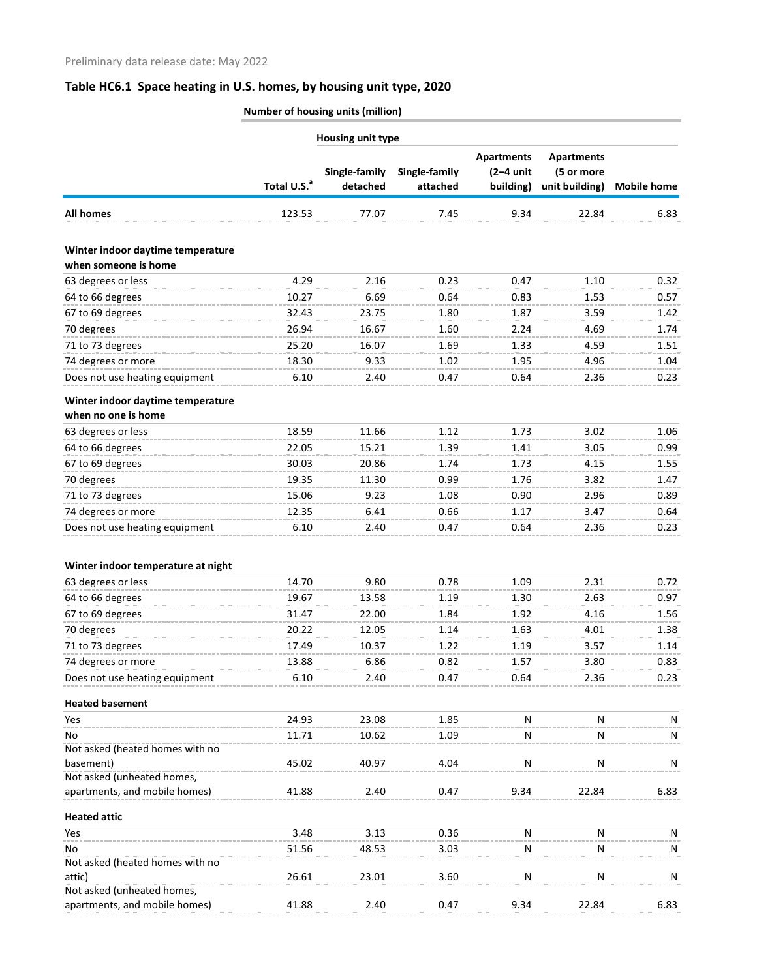| <b>Number of housing units (million)</b> |  |
|------------------------------------------|--|
|                                          |  |
|                                          |  |

|                                    |                         | Housing unit type         |                           |                                               |                                                   |                    |
|------------------------------------|-------------------------|---------------------------|---------------------------|-----------------------------------------------|---------------------------------------------------|--------------------|
|                                    | Total U.S. <sup>a</sup> | Single-family<br>detached | Single-family<br>attached | <b>Apartments</b><br>$(2-4$ unit<br>building) | <b>Apartments</b><br>(5 or more<br>unit building) | <b>Mobile home</b> |
| <b>All homes</b>                   | 123.53                  | 77.07                     | 7.45                      | 9.34                                          | 22.84                                             | 6.83               |
| Winter indoor daytime temperature  |                         |                           |                           |                                               |                                                   |                    |
| when someone is home               |                         |                           |                           |                                               |                                                   |                    |
| 63 degrees or less                 | 4.29                    | 2.16                      | 0.23                      | 0.47                                          | 1.10                                              | 0.32               |
| 64 to 66 degrees                   | 10.27                   | 6.69                      | 0.64                      | 0.83                                          | 1.53                                              | 0.57               |
| 67 to 69 degrees                   | 32.43                   | 23.75                     | 1.80                      | 1.87                                          | 3.59                                              | 1.42               |
| 70 degrees                         | 26.94                   | 16.67                     | 1.60                      | 2.24                                          | 4.69                                              | 1.74               |
| 71 to 73 degrees                   | 25.20                   | 16.07                     | 1.69                      | 1.33                                          | 4.59                                              | 1.51               |
| 74 degrees or more                 | 18.30                   | 9.33                      | 1.02                      | 1.95                                          | 4.96                                              | 1.04               |
| Does not use heating equipment     | 6.10                    | 2.40                      | 0.47                      | 0.64                                          | 2.36                                              | 0.23               |
| Winter indoor daytime temperature  |                         |                           |                           |                                               |                                                   |                    |
| when no one is home                |                         |                           |                           |                                               |                                                   |                    |
| 63 degrees or less                 | 18.59                   | 11.66                     | 1.12                      | 1.73                                          | 3.02                                              | 1.06               |
| 64 to 66 degrees                   | 22.05                   | 15.21                     | 1.39                      | 1.41                                          | 3.05                                              | 0.99               |
| 67 to 69 degrees                   | 30.03                   | 20.86                     | 1.74                      | 1.73                                          | 4.15                                              | 1.55               |
| 70 degrees                         | 19.35                   | 11.30                     | 0.99                      | 1.76                                          | 3.82                                              | 1.47               |
| 71 to 73 degrees                   | 15.06                   | 9.23                      | 1.08                      | 0.90                                          | 2.96                                              | 0.89               |
| 74 degrees or more                 | 12.35                   | 6.41                      | 0.66                      | 1.17                                          | 3.47                                              | 0.64               |
| Does not use heating equipment     | 6.10                    | 2.40                      | 0.47                      | 0.64                                          | 2.36                                              | 0.23               |
| Winter indoor temperature at night |                         |                           |                           |                                               |                                                   |                    |
| 63 degrees or less                 | 14.70                   | 9.80                      | 0.78                      | 1.09                                          | 2.31                                              | 0.72               |
| 64 to 66 degrees                   | 19.67                   | 13.58                     | 1.19                      | 1.30                                          | 2.63                                              | 0.97               |
| 67 to 69 degrees                   | 31.47                   | 22.00                     | 1.84                      | 1.92                                          | 4.16                                              | 1.56               |
| 70 degrees                         | 20.22                   | 12.05                     | 1.14                      | 1.63                                          | 4.01                                              | 1.38               |
| 71 to 73 degrees                   | 17.49                   | 10.37                     | 1.22                      | 1.19                                          | 3.57                                              | 1.14               |
| 74 degrees or more                 | 13.88                   | 6.86                      | 0.82                      | 1.57                                          | 3.80                                              | 0.83               |
| Does not use heating equipment     | 6.10                    | 2.40                      | 0.47                      | 0.64                                          | 2.36                                              | 0.23               |
| <b>Heated basement</b>             |                         |                           |                           |                                               |                                                   |                    |
| Yes                                | 24.93                   | 23.08                     | 1.85                      | N                                             | N                                                 | N                  |
| No                                 | 11.71                   | 10.62                     | 1.09                      | N                                             | N                                                 | N                  |
| Not asked (heated homes with no    |                         |                           |                           |                                               |                                                   |                    |
| basement)                          | 45.02                   | 40.97                     | 4.04                      | N                                             | N                                                 | N                  |
| Not asked (unheated homes,         |                         |                           |                           |                                               |                                                   |                    |
| apartments, and mobile homes)      | 41.88                   | 2.40                      | 0.47                      | 9.34                                          | 22.84                                             | 6.83               |
| <b>Heated attic</b>                |                         |                           |                           |                                               |                                                   |                    |
| Yes                                | 3.48                    | 3.13                      | 0.36                      | N                                             | N                                                 | N                  |
| No                                 | 51.56                   | 48.53                     | 3.03                      | N                                             | N                                                 | N                  |
| Not asked (heated homes with no    |                         |                           |                           |                                               |                                                   |                    |
| attic)                             | 26.61                   | 23.01                     | 3.60                      | N                                             | N                                                 | N                  |
| Not asked (unheated homes,         |                         |                           |                           |                                               |                                                   |                    |
| apartments, and mobile homes)      | 41.88                   | 2.40                      | 0.47                      | 9.34                                          | 22.84                                             | 6.83               |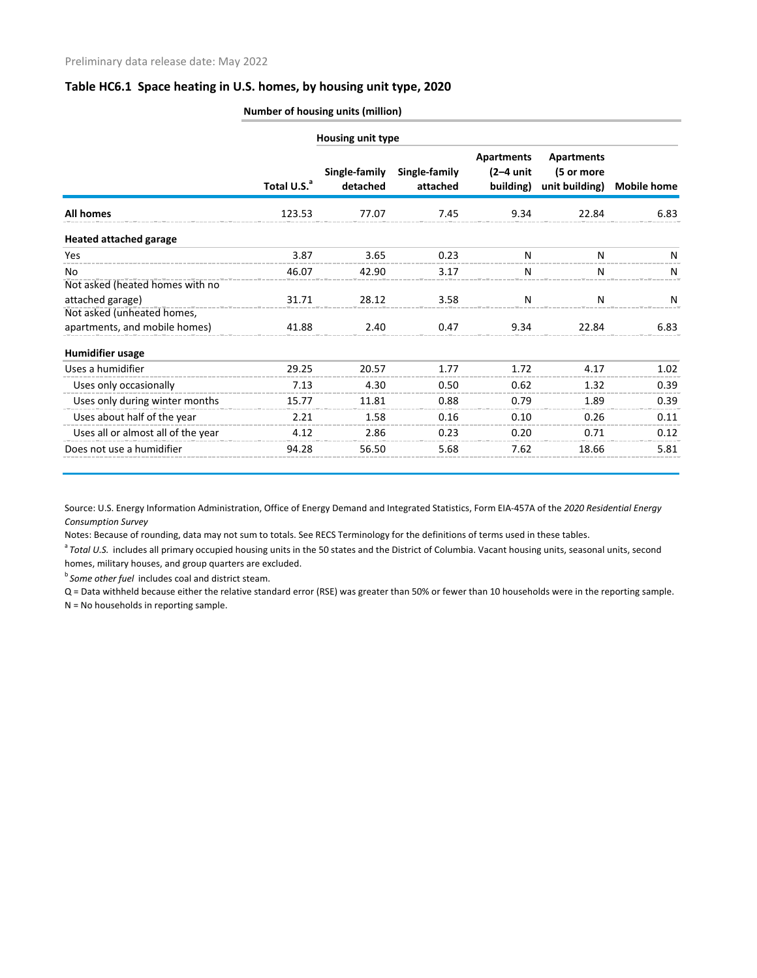|                                    |                         | Housing unit type         |                           |                                               |                                                   |                    |
|------------------------------------|-------------------------|---------------------------|---------------------------|-----------------------------------------------|---------------------------------------------------|--------------------|
|                                    | Total U.S. <sup>a</sup> | Single-family<br>detached | Single-family<br>attached | <b>Apartments</b><br>$(2-4$ unit<br>building) | <b>Apartments</b><br>(5 or more<br>unit building) | <b>Mobile home</b> |
| <b>All homes</b>                   | 123.53                  | 77.07                     | 7.45                      | 9.34                                          | 22.84                                             | 6.83               |
| <b>Heated attached garage</b>      |                         |                           |                           |                                               |                                                   |                    |
| Yes                                | 3.87                    | 3.65                      | 0.23                      | N                                             | N                                                 | N                  |
| No                                 | 46.07                   | 42.90                     | 3.17                      | N                                             | N                                                 | N                  |
| Not asked (heated homes with no    |                         |                           |                           |                                               |                                                   |                    |
| attached garage)                   | 31.71                   | 28.12                     | 3.58                      | N                                             | N                                                 | N                  |
| Not asked (unheated homes,         |                         |                           |                           |                                               |                                                   |                    |
| apartments, and mobile homes)      | 41.88                   | 2.40                      | 0.47                      | 9.34                                          | 22.84                                             | 6.83               |
| <b>Humidifier usage</b>            |                         |                           |                           |                                               |                                                   |                    |
| Uses a humidifier                  | 29.25                   | 20.57                     | 1.77                      | 1.72                                          | 4.17                                              | 1.02               |
| Uses only occasionally             | 7.13                    | 4.30                      | 0.50                      | 0.62                                          | 1.32                                              | 0.39               |
| Uses only during winter months     | 15.77                   | 11.81                     | 0.88                      | 0.79                                          | 1.89                                              | 0.39               |
| Uses about half of the year        | 2.21                    | 1.58                      | 0.16                      | 0.10                                          | 0.26                                              | 0.11               |
| Uses all or almost all of the year | 4.12                    | 2.86                      | 0.23                      | 0.20                                          | 0.71                                              | 0.12               |
| Does not use a humidifier          | 94.28                   | 56.50                     | 5.68                      | 7.62                                          | 18.66                                             | 5.81               |

Source: U.S. Energy Information Administration, Office of Energy Demand and Integrated Statistics, Form EIA-457A of the *2020 Residential Energy Consumption Survey*

Notes: Because of rounding, data may not sum to totals. See RECS Terminology for the definitions of terms used in these tables.

<sup>a</sup> Total U.S. includes all primary occupied housing units in the 50 states and the District of Columbia. Vacant housing units, seasonal units, second homes, military houses, and group quarters are excluded.

*b* Some other fuel includes coal and district steam.

Q = Data withheld because either the relative standard error (RSE) was greater than 50% or fewer than 10 households were in the reporting sample. N = No households in reporting sample.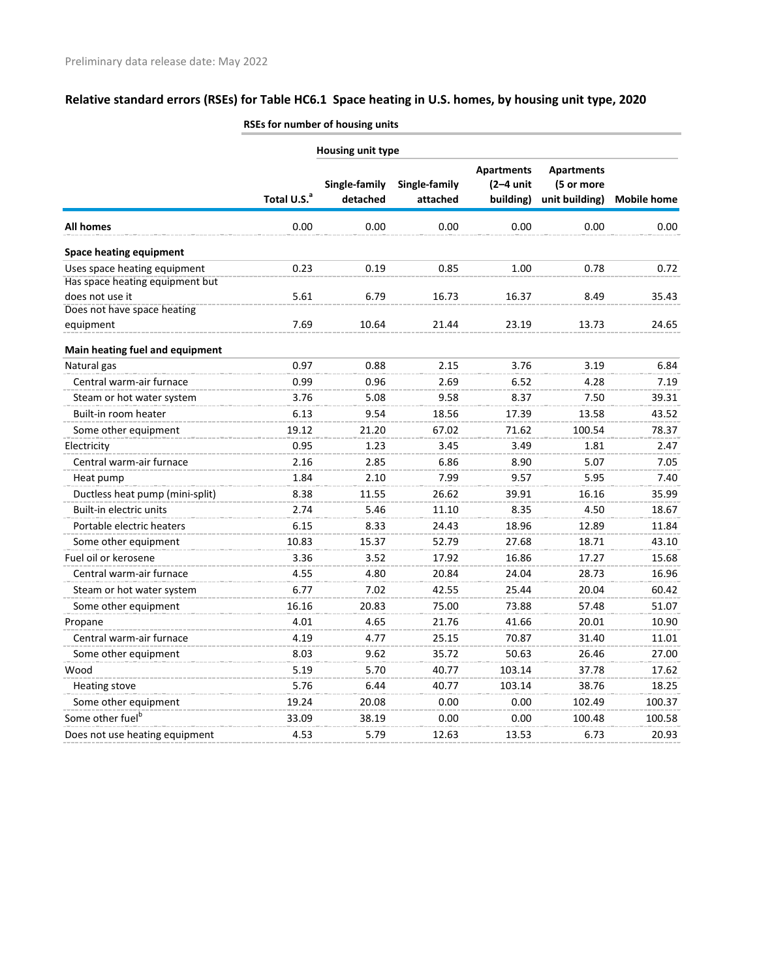|                                                                 | Housing unit type       |                           |                           |                                               |                                                   |                    |  |
|-----------------------------------------------------------------|-------------------------|---------------------------|---------------------------|-----------------------------------------------|---------------------------------------------------|--------------------|--|
|                                                                 | Total U.S. <sup>a</sup> | Single-family<br>detached | Single-family<br>attached | <b>Apartments</b><br>$(2-4$ unit<br>building) | <b>Apartments</b><br>(5 or more<br>unit building) | <b>Mobile home</b> |  |
| <b>All homes</b>                                                | 0.00                    | 0.00                      | 0.00                      | 0.00                                          | 0.00                                              | 0.00               |  |
| <b>Space heating equipment</b>                                  |                         |                           |                           |                                               |                                                   |                    |  |
| Uses space heating equipment<br>Has space heating equipment but | 0.23                    | 0.19                      | 0.85                      | 1.00                                          | 0.78                                              | 0.72               |  |
| does not use it                                                 | 5.61                    | 6.79                      | 16.73                     | 16.37                                         | 8.49                                              | 35.43              |  |
| Does not have space heating                                     |                         |                           |                           |                                               |                                                   |                    |  |
| equipment                                                       | 7.69                    | 10.64                     | 21.44                     | 23.19                                         | 13.73                                             | 24.65              |  |
| Main heating fuel and equipment                                 |                         |                           |                           |                                               |                                                   |                    |  |
| Natural gas                                                     | 0.97                    | 0.88                      | 2.15                      | 3.76                                          | 3.19                                              | 6.84               |  |
| Central warm-air furnace                                        | 0.99                    | 0.96                      | 2.69                      | 6.52                                          | 4.28                                              | 7.19               |  |
| Steam or hot water system                                       | 3.76                    | 5.08                      | 9.58                      | 8.37                                          | 7.50                                              | 39.31              |  |
| Built-in room heater                                            | 6.13                    | 9.54                      | 18.56                     | 17.39                                         | 13.58                                             | 43.52              |  |
| Some other equipment                                            | 19.12                   | 21.20                     | 67.02                     | 71.62                                         | 100.54                                            | 78.37              |  |
| Electricity                                                     | 0.95                    | 1.23                      | 3.45                      | 3.49                                          | 1.81                                              | 2.47               |  |
| Central warm-air furnace                                        | 2.16                    | 2.85                      | 6.86                      | 8.90                                          | 5.07                                              | 7.05               |  |
| Heat pump                                                       | 1.84                    | 2.10                      | 7.99                      | 9.57                                          | 5.95                                              | 7.40               |  |
| Ductless heat pump (mini-split)                                 | 8.38                    | 11.55                     | 26.62                     | 39.91                                         | 16.16                                             | 35.99              |  |
| Built-in electric units                                         | 2.74                    | 5.46                      | 11.10                     | 8.35                                          | 4.50                                              | 18.67              |  |
| Portable electric heaters                                       | 6.15                    | 8.33                      | 24.43                     | 18.96                                         | 12.89                                             | 11.84              |  |
| Some other equipment                                            | 10.83                   | 15.37                     | 52.79                     | 27.68                                         | 18.71                                             | 43.10              |  |
| Fuel oil or kerosene                                            | 3.36                    | 3.52                      | 17.92                     | 16.86                                         | 17.27                                             | 15.68              |  |
| Central warm-air furnace                                        | 4.55                    | 4.80                      | 20.84                     | 24.04                                         | 28.73                                             | 16.96              |  |
| Steam or hot water system                                       | 6.77                    | 7.02                      | 42.55                     | 25.44                                         | 20.04                                             | 60.42              |  |
| Some other equipment                                            | 16.16                   | 20.83                     | 75.00                     | 73.88                                         | 57.48                                             | 51.07              |  |
| Propane                                                         | 4.01                    | 4.65                      | 21.76                     | 41.66                                         | 20.01                                             | 10.90              |  |
| Central warm-air furnace                                        | 4.19                    | 4.77                      | 25.15                     | 70.87                                         | 31.40                                             | 11.01              |  |
| Some other equipment                                            | 8.03                    | 9.62                      | 35.72                     | 50.63                                         | 26.46                                             | 27.00              |  |
| Wood                                                            | 5.19                    | 5.70                      | 40.77                     | 103.14                                        | 37.78                                             | 17.62              |  |
| <b>Heating stove</b>                                            | 5.76                    | 6.44                      | 40.77                     | 103.14                                        | 38.76                                             | 18.25              |  |
| Some other equipment                                            | 19.24                   | 20.08                     | 0.00                      | 0.00                                          | 102.49                                            | 100.37             |  |
| Some other fuel <sup>b</sup>                                    | 33.09                   | 38.19                     | 0.00                      | 0.00                                          | 100.48                                            | 100.58             |  |
| Does not use heating equipment                                  | 4.53                    | 5.79                      | 12.63                     | 13.53                                         | 6.73                                              | 20.93              |  |
|                                                                 |                         |                           |                           |                                               |                                                   |                    |  |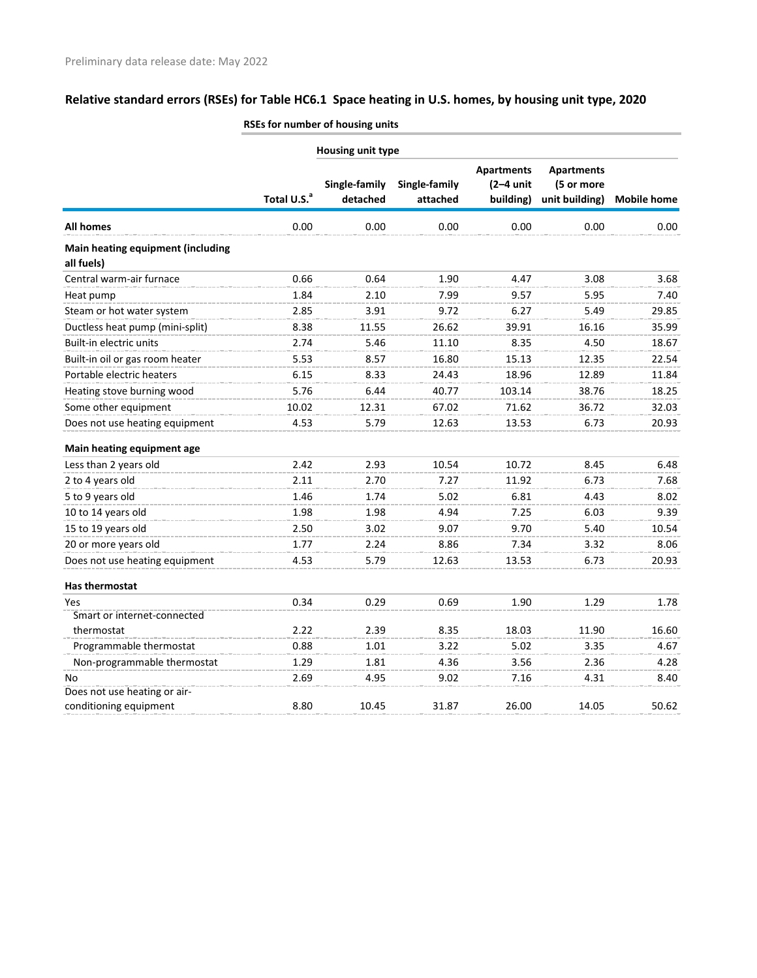|                                                 |                         | Housing unit type         |                           |                                               |                                                   |                    |
|-------------------------------------------------|-------------------------|---------------------------|---------------------------|-----------------------------------------------|---------------------------------------------------|--------------------|
|                                                 | Total U.S. <sup>a</sup> | Single-family<br>detached | Single-family<br>attached | <b>Apartments</b><br>$(2-4$ unit<br>building) | <b>Apartments</b><br>(5 or more<br>unit building) | <b>Mobile home</b> |
| All homes                                       | 0.00                    | 0.00                      | 0.00                      | 0.00                                          | 0.00                                              | 0.00               |
| Main heating equipment (including<br>all fuels) |                         |                           |                           |                                               |                                                   |                    |
| Central warm-air furnace                        | 0.66                    | 0.64                      | 1.90                      | 4.47                                          | 3.08                                              | 3.68               |
| Heat pump                                       | 1.84                    | 2.10                      | 7.99                      | 9.57                                          | 5.95                                              | 7.40               |
| Steam or hot water system                       | 2.85                    | 3.91                      | 9.72                      | 6.27                                          | 5.49                                              | 29.85              |
| Ductless heat pump (mini-split)                 | 8.38                    | 11.55                     | 26.62                     | 39.91                                         | 16.16                                             | 35.99              |
| Built-in electric units                         | 2.74                    | 5.46                      | 11.10                     | 8.35                                          | 4.50                                              | 18.67              |
| Built-in oil or gas room heater                 | 5.53                    | 8.57                      | 16.80                     | 15.13                                         | 12.35                                             | 22.54              |
| Portable electric heaters                       | 6.15                    | 8.33                      | 24.43                     | 18.96                                         | 12.89                                             | 11.84              |
| Heating stove burning wood                      | 5.76                    | 6.44                      | 40.77                     | 103.14                                        | 38.76                                             | 18.25              |
| Some other equipment                            | 10.02                   | 12.31                     | 67.02                     | 71.62                                         | 36.72                                             | 32.03              |
| Does not use heating equipment                  | 4.53                    | 5.79                      | 12.63                     | 13.53                                         | 6.73                                              | 20.93              |
| Main heating equipment age                      |                         |                           |                           |                                               |                                                   |                    |
| Less than 2 years old                           | 2.42                    | 2.93                      | 10.54                     | 10.72                                         | 8.45                                              | 6.48               |
| 2 to 4 years old                                | 2.11                    | 2.70                      | 7.27                      | 11.92                                         | 6.73                                              | 7.68               |
| 5 to 9 years old                                | 1.46                    | 1.74                      | 5.02                      | 6.81                                          | 4.43                                              | 8.02               |
| 10 to 14 years old                              | 1.98                    | 1.98                      | 4.94                      | 7.25                                          | 6.03                                              | 9.39               |
| 15 to 19 years old                              | 2.50                    | 3.02                      | 9.07                      | 9.70                                          | 5.40                                              | 10.54              |
| 20 or more years old                            | 1.77                    | 2.24                      | 8.86                      | 7.34                                          | 3.32                                              | 8.06               |
| Does not use heating equipment                  | 4.53                    | 5.79                      | 12.63                     | 13.53                                         | 6.73                                              | 20.93              |
| <b>Has thermostat</b>                           |                         |                           |                           |                                               |                                                   |                    |
| Yes                                             | 0.34                    | 0.29                      | 0.69                      | 1.90                                          | 1.29                                              | 1.78               |
| Smart or internet-connected                     |                         |                           |                           |                                               |                                                   |                    |
| thermostat                                      | 2.22                    | 2.39                      | 8.35                      | 18.03                                         | 11.90                                             | 16.60              |
| Programmable thermostat                         | 0.88                    | 1.01                      | 3.22                      | 5.02                                          | 3.35                                              | 4.67               |
| Non-programmable thermostat                     | 1.29                    | 1.81                      | 4.36                      | 3.56                                          | 2.36                                              | 4.28               |
| No                                              | 2.69                    | 4.95                      | 9.02                      | 7.16                                          | 4.31                                              | 8.40               |
| Does not use heating or air-                    |                         |                           |                           |                                               |                                                   |                    |
| conditioning equipment                          | 8.80                    | 10.45                     | 31.87                     | 26.00                                         | 14.05                                             | 50.62              |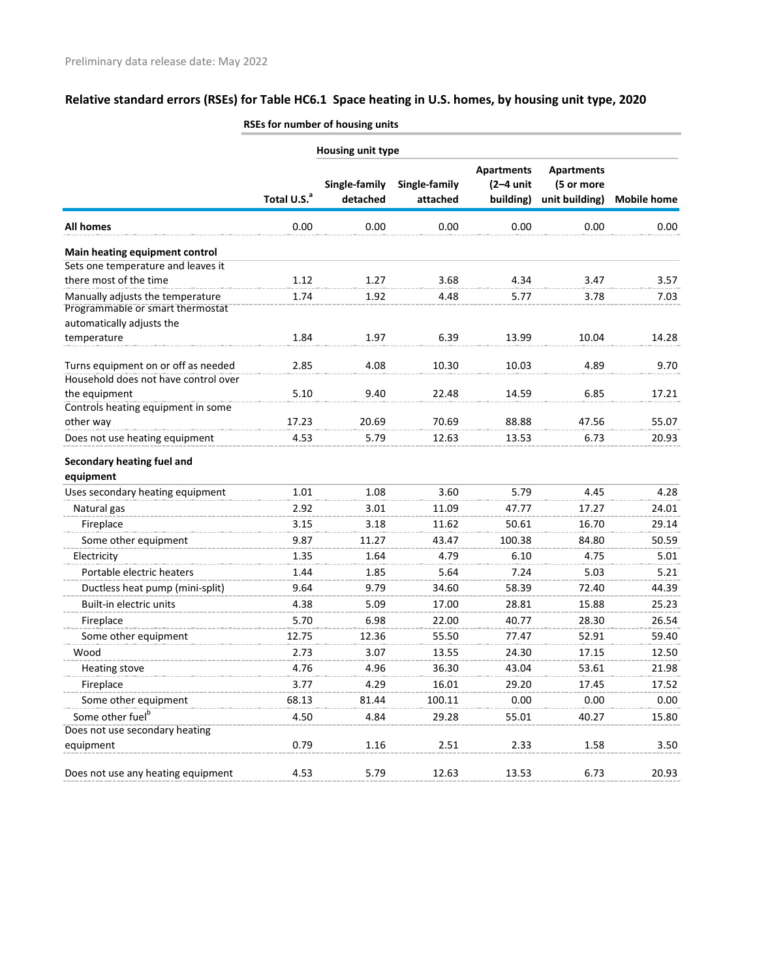|                                                                      | Housing unit type       |                           |                           |                                               |                                                   |                    |  |
|----------------------------------------------------------------------|-------------------------|---------------------------|---------------------------|-----------------------------------------------|---------------------------------------------------|--------------------|--|
|                                                                      | Total U.S. <sup>a</sup> | Single-family<br>detached | Single-family<br>attached | <b>Apartments</b><br>$(2-4$ unit<br>building) | <b>Apartments</b><br>(5 or more<br>unit building) | <b>Mobile home</b> |  |
| <b>All homes</b>                                                     | 0.00                    | 0.00                      | 0.00                      | 0.00                                          | 0.00                                              | 0.00               |  |
| Main heating equipment control                                       |                         |                           |                           |                                               |                                                   |                    |  |
| Sets one temperature and leaves it                                   |                         |                           |                           |                                               |                                                   |                    |  |
| there most of the time                                               | 1.12                    | 1.27                      | 3.68                      | 4.34                                          | 3.47                                              | 3.57               |  |
| Manually adjusts the temperature<br>Programmable or smart thermostat | 1.74                    | 1.92                      | 4.48                      | 5.77                                          | 3.78                                              | 7.03               |  |
| automatically adjusts the                                            |                         |                           |                           |                                               |                                                   |                    |  |
| temperature                                                          | 1.84                    | 1.97                      | 6.39                      | 13.99                                         | 10.04                                             | 14.28              |  |
| Turns equipment on or off as needed                                  | 2.85                    | 4.08                      | 10.30                     | 10.03                                         | 4.89                                              | 9.70               |  |
| Household does not have control over                                 |                         |                           |                           |                                               |                                                   |                    |  |
| the equipment<br>Controls heating equipment in some                  | 5.10                    | 9.40                      | 22.48                     | 14.59                                         | 6.85                                              | 17.21              |  |
| other way                                                            | 17.23                   | 20.69                     | 70.69                     | 88.88                                         | 47.56                                             | 55.07              |  |
| Does not use heating equipment                                       | 4.53                    | 5.79                      | 12.63                     | 13.53                                         | 6.73                                              | 20.93              |  |
| Secondary heating fuel and                                           |                         |                           |                           |                                               |                                                   |                    |  |
| equipment                                                            |                         |                           |                           |                                               |                                                   |                    |  |
| Uses secondary heating equipment                                     | 1.01                    | 1.08                      | 3.60                      | 5.79                                          | 4.45                                              | 4.28               |  |
| Natural gas                                                          | 2.92                    | 3.01                      | 11.09                     | 47.77                                         | 17.27                                             | 24.01              |  |
| Fireplace                                                            | 3.15                    | 3.18                      | 11.62                     | 50.61                                         | 16.70                                             | 29.14              |  |
| Some other equipment                                                 | 9.87                    | 11.27                     | 43.47                     | 100.38                                        | 84.80                                             | 50.59              |  |
| Electricity                                                          | 1.35                    | 1.64                      | 4.79                      | 6.10                                          | 4.75                                              | 5.01               |  |
| Portable electric heaters                                            | 1.44                    | 1.85                      | 5.64                      | 7.24                                          | 5.03                                              | 5.21               |  |
| Ductless heat pump (mini-split)                                      | 9.64                    | 9.79                      | 34.60                     | 58.39                                         | 72.40                                             | 44.39              |  |
| Built-in electric units                                              | 4.38                    | 5.09                      | 17.00                     | 28.81                                         | 15.88                                             | 25.23              |  |
| Fireplace                                                            | 5.70                    | 6.98                      | 22.00                     | 40.77                                         | 28.30                                             | 26.54              |  |
| Some other equipment                                                 | 12.75                   | 12.36                     | 55.50                     | 77.47                                         | 52.91                                             | 59.40              |  |
| Wood                                                                 | 2.73                    | 3.07                      | 13.55                     | 24.30                                         | 17.15                                             | 12.50              |  |
| Heating stove                                                        | 4.76                    | 4.96                      | 36.30                     | 43.04                                         | 53.61                                             | 21.98              |  |
| Fireplace                                                            | 3.77                    | 4.29                      | 16.01                     | 29.20                                         | 17.45                                             | 17.52              |  |
| Some other equipment                                                 | 68.13                   | 81.44                     | 100.11                    | 0.00                                          | 0.00                                              | 0.00               |  |
| Some other fuel <sup>b</sup>                                         | 4.50                    | 4.84                      | 29.28                     | 55.01                                         | 40.27                                             | 15.80              |  |
| Does not use secondary heating                                       |                         |                           |                           |                                               |                                                   |                    |  |
| equipment                                                            | 0.79                    | 1.16                      | 2.51                      | 2.33                                          | 1.58                                              | 3.50               |  |
| Does not use any heating equipment                                   | 4.53                    | 5.79                      | 12.63                     | 13.53                                         | 6.73                                              | 20.93              |  |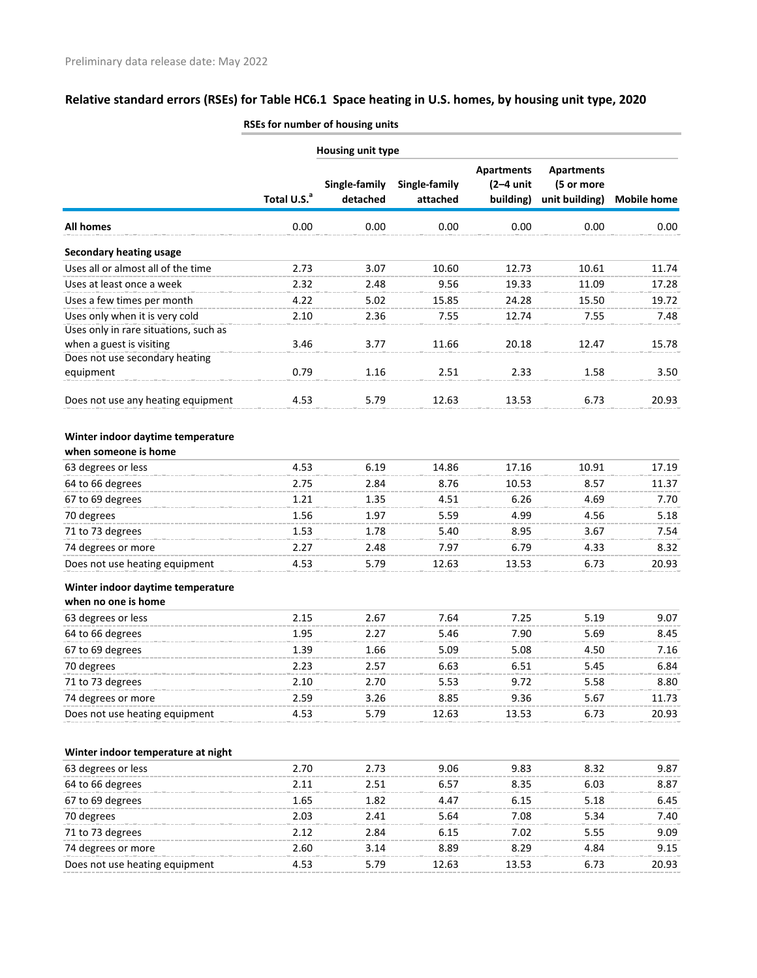|                                                                         | <b>Housing unit type</b> |               |               |                   |                   |                    |  |
|-------------------------------------------------------------------------|--------------------------|---------------|---------------|-------------------|-------------------|--------------------|--|
|                                                                         |                          |               |               | <b>Apartments</b> | <b>Apartments</b> |                    |  |
|                                                                         |                          | Single-family | Single-family | $(2-4$ unit       | (5 or more        |                    |  |
|                                                                         | Total U.S. <sup>a</sup>  | detached      | attached      | building)         | unit building)    | <b>Mobile home</b> |  |
| <b>All homes</b>                                                        | 0.00                     | 0.00          | 0.00          | 0.00              | 0.00              | 0.00               |  |
| <b>Secondary heating usage</b>                                          |                          |               |               |                   |                   |                    |  |
| Uses all or almost all of the time                                      | 2.73                     | 3.07          | 10.60         | 12.73             | 10.61             | 11.74              |  |
| Uses at least once a week                                               | 2.32                     | 2.48          | 9.56          | 19.33             | 11.09             | 17.28              |  |
| Uses a few times per month                                              | 4.22                     | 5.02          | 15.85         | 24.28             | 15.50             | 19.72              |  |
| Uses only when it is very cold<br>Uses only in rare situations, such as | 2.10                     | 2.36          | 7.55          | 12.74             | 7.55              | 7.48               |  |
| when a guest is visiting                                                | 3.46                     | 3.77          | 11.66         | 20.18             | 12.47             | 15.78              |  |
| Does not use secondary heating                                          |                          |               |               |                   |                   |                    |  |
| equipment                                                               | 0.79                     | 1.16          | 2.51          | 2.33              | 1.58              | 3.50               |  |
| Does not use any heating equipment                                      | 4.53                     | 5.79          | 12.63         | 13.53             | 6.73              | 20.93              |  |
| Winter indoor daytime temperature<br>when someone is home               |                          |               |               |                   |                   |                    |  |
| 63 degrees or less                                                      | 4.53                     | 6.19          | 14.86         | 17.16             | 10.91             | 17.19              |  |
| 64 to 66 degrees                                                        | 2.75                     | 2.84          | 8.76          | 10.53             | 8.57              | 11.37              |  |
| 67 to 69 degrees                                                        | 1.21                     | 1.35          | 4.51          | 6.26              | 4.69              | 7.70               |  |
| 70 degrees                                                              | 1.56                     | 1.97          | 5.59          | 4.99              | 4.56              | 5.18               |  |
| 71 to 73 degrees                                                        | 1.53                     | 1.78          | 5.40          | 8.95              | 3.67              | 7.54               |  |
| 74 degrees or more                                                      | 2.27                     | 2.48          | 7.97          | 6.79              | 4.33              | 8.32               |  |
| Does not use heating equipment                                          | 4.53                     | 5.79          | 12.63         | 13.53             | 6.73              | 20.93              |  |
| Winter indoor daytime temperature<br>when no one is home                |                          |               |               |                   |                   |                    |  |
|                                                                         |                          |               | 7.64          | 7.25              |                   |                    |  |
| 63 degrees or less                                                      | 2.15                     | 2.67          |               |                   | 5.19              | 9.07               |  |
| 64 to 66 degrees                                                        | 1.95                     | 2.27          | 5.46          | 7.90              | 5.69              | 8.45               |  |
| 67 to 69 degrees                                                        | 1.39                     | 1.66          | 5.09          | 5.08              | 4.50              | 7.16               |  |
| 70 degrees                                                              | 2.23                     | 2.57          | 6.63          | 6.51<br>9.72      | 5.45              | 6.84               |  |
| 71 to 73 degrees                                                        | 2.10                     | 2.70          | 5.53          |                   | 5.58              | 8.80               |  |
| 74 degrees or more                                                      | 2.59                     | 3.26          | 8.85          | 9.36              | 5.67              | 11.73              |  |
| Does not use heating equipment                                          | 4.53                     | 5.79          | 12.63         | 13.53             | 6.73              | 20.93              |  |
| Winter indoor temperature at night                                      |                          |               |               |                   |                   |                    |  |
| 63 degrees or less                                                      | 2.70                     | 2.73          | 9.06          | 9.83              | 8.32              | 9.87               |  |
| 64 to 66 degrees                                                        | 2.11                     | 2.51          | 6.57          | 8.35              | 6.03              | 8.87               |  |
| 67 to 69 degrees                                                        | 1.65                     | 1.82          | 4.47          | 6.15              | 5.18              | 6.45               |  |
| 70 degrees                                                              | 2.03                     | 2.41          | 5.64          | 7.08              | 5.34              | 7.40               |  |
| 71 to 73 degrees                                                        | 2.12                     | 2.84          | 6.15          | 7.02              | 5.55              | 9.09               |  |
| 74 degrees or more                                                      | 2.60                     | 3.14          | 8.89          | 8.29              | 4.84              | 9.15               |  |

Does not use heating equipment 4.53 5.79 12.63 13.53 6.73 20.93